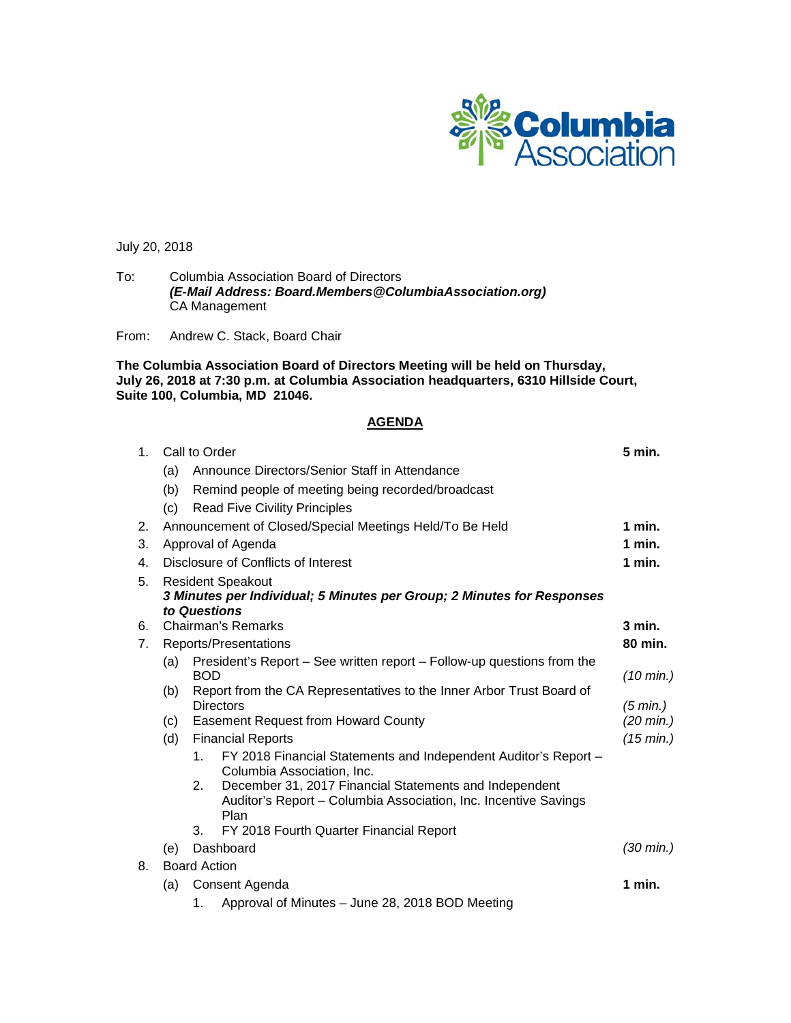

July 20, 2018

To: Columbia Association Board of Directors *(E-Mail Address: Board.Members@ColumbiaAssociation.org)* CA Management

From: Andrew C. Stack, Board Chair

**The Columbia Association Board of Directors Meeting will be held on Thursday, July 26, 2018 at 7:30 p.m. at Columbia Association headquarters, 6310 Hillside Court, Suite 100, Columbia, MD 21046.**

### **AGENDA**

| 1 <sub>1</sub> | Call to Order                                                          |                                                                        |                                                                                               |                     |  |  |  |  |
|----------------|------------------------------------------------------------------------|------------------------------------------------------------------------|-----------------------------------------------------------------------------------------------|---------------------|--|--|--|--|
|                | (a)                                                                    | Announce Directors/Senior Staff in Attendance                          |                                                                                               |                     |  |  |  |  |
|                | (b)                                                                    |                                                                        | Remind people of meeting being recorded/broadcast                                             |                     |  |  |  |  |
|                | (c)                                                                    |                                                                        | <b>Read Five Civility Principles</b>                                                          |                     |  |  |  |  |
| 2.             |                                                                        | Announcement of Closed/Special Meetings Held/To Be Held                |                                                                                               |                     |  |  |  |  |
| 3.             |                                                                        | Approval of Agenda                                                     |                                                                                               |                     |  |  |  |  |
| 4.             |                                                                        | Disclosure of Conflicts of Interest                                    |                                                                                               |                     |  |  |  |  |
| 5.             | <b>Resident Speakout</b>                                               |                                                                        |                                                                                               |                     |  |  |  |  |
|                | 3 Minutes per Individual; 5 Minutes per Group; 2 Minutes for Responses |                                                                        |                                                                                               |                     |  |  |  |  |
| 6.             | to Questions<br><b>Chairman's Remarks</b>                              |                                                                        |                                                                                               |                     |  |  |  |  |
| 7.             | Reports/Presentations                                                  |                                                                        |                                                                                               |                     |  |  |  |  |
|                | (a)                                                                    | President's Report – See written report – Follow-up questions from the |                                                                                               |                     |  |  |  |  |
|                |                                                                        | <b>BOD</b>                                                             | $(10 \text{ min.})$                                                                           |                     |  |  |  |  |
|                | (b)                                                                    | Report from the CA Representatives to the Inner Arbor Trust Board of   |                                                                                               |                     |  |  |  |  |
|                |                                                                        | <b>Directors</b>                                                       |                                                                                               |                     |  |  |  |  |
|                | (c)                                                                    | <b>Easement Request from Howard County</b>                             |                                                                                               |                     |  |  |  |  |
|                | (d)                                                                    |                                                                        | <b>Financial Reports</b>                                                                      |                     |  |  |  |  |
|                |                                                                        | 1.                                                                     | FY 2018 Financial Statements and Independent Auditor's Report -<br>Columbia Association, Inc. |                     |  |  |  |  |
|                |                                                                        | 2.                                                                     | December 31, 2017 Financial Statements and Independent                                        |                     |  |  |  |  |
|                |                                                                        |                                                                        | Auditor's Report - Columbia Association, Inc. Incentive Savings                               |                     |  |  |  |  |
|                |                                                                        |                                                                        | Plan                                                                                          |                     |  |  |  |  |
|                |                                                                        | 3.                                                                     | FY 2018 Fourth Quarter Financial Report                                                       | $(30 \text{ min.})$ |  |  |  |  |
|                | Dashboard<br>(e)                                                       |                                                                        |                                                                                               |                     |  |  |  |  |
| 8.             | <b>Board Action</b><br>Consent Agenda                                  |                                                                        |                                                                                               |                     |  |  |  |  |
|                | (a)                                                                    | 1 min.                                                                 |                                                                                               |                     |  |  |  |  |
|                |                                                                        | 1.                                                                     | Approval of Minutes - June 28, 2018 BOD Meeting                                               |                     |  |  |  |  |